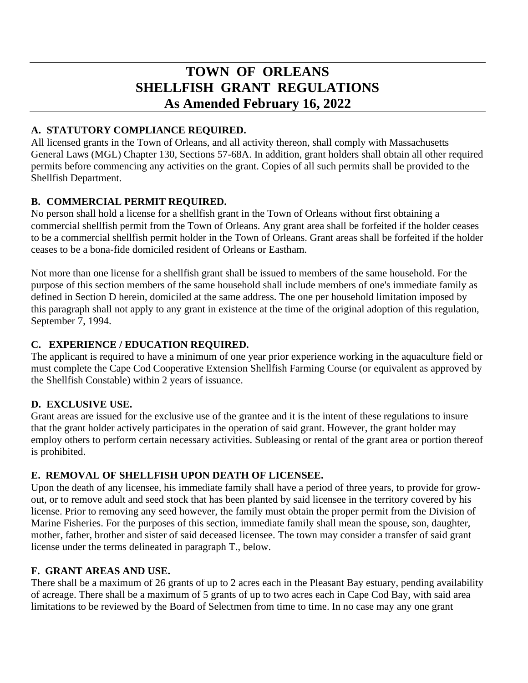# **TOWN OF ORLEANS SHELLFISH GRANT REGULATIONS As Amended February 16, 2022**

## **A. STATUTORY COMPLIANCE REQUIRED.**

All licensed grants in the Town of Orleans, and all activity thereon, shall comply with Massachusetts General Laws (MGL) Chapter 130, Sections 57-68A. In addition, grant holders shall obtain all other required permits before commencing any activities on the grant. Copies of all such permits shall be provided to the Shellfish Department.

## **B. COMMERCIAL PERMIT REQUIRED.**

No person shall hold a license for a shellfish grant in the Town of Orleans without first obtaining a commercial shellfish permit from the Town of Orleans. Any grant area shall be forfeited if the holder ceases to be a commercial shellfish permit holder in the Town of Orleans. Grant areas shall be forfeited if the holder ceases to be a bona-fide domiciled resident of Orleans or Eastham.

Not more than one license for a shellfish grant shall be issued to members of the same household. For the purpose of this section members of the same household shall include members of one's immediate family as defined in Section D herein, domiciled at the same address. The one per household limitation imposed by this paragraph shall not apply to any grant in existence at the time of the original adoption of this regulation, September 7, 1994.

## **C. EXPERIENCE / EDUCATION REQUIRED.**

The applicant is required to have a minimum of one year prior experience working in the aquaculture field or must complete the Cape Cod Cooperative Extension Shellfish Farming Course (or equivalent as approved by the Shellfish Constable) within 2 years of issuance.

## **D. EXCLUSIVE USE.**

Grant areas are issued for the exclusive use of the grantee and it is the intent of these regulations to insure that the grant holder actively participates in the operation of said grant. However, the grant holder may employ others to perform certain necessary activities. Subleasing or rental of the grant area or portion thereof is prohibited.

## **E. REMOVAL OF SHELLFISH UPON DEATH OF LICENSEE.**

Upon the death of any licensee, his immediate family shall have a period of three years, to provide for growout, or to remove adult and seed stock that has been planted by said licensee in the territory covered by his license. Prior to removing any seed however, the family must obtain the proper permit from the Division of Marine Fisheries. For the purposes of this section, immediate family shall mean the spouse, son, daughter, mother, father, brother and sister of said deceased licensee. The town may consider a transfer of said grant license under the terms delineated in paragraph T., below.

## **F. GRANT AREAS AND USE.**

There shall be a maximum of 26 grants of up to 2 acres each in the Pleasant Bay estuary, pending availability of acreage. There shall be a maximum of 5 grants of up to two acres each in Cape Cod Bay, with said area limitations to be reviewed by the Board of Selectmen from time to time. In no case may any one grant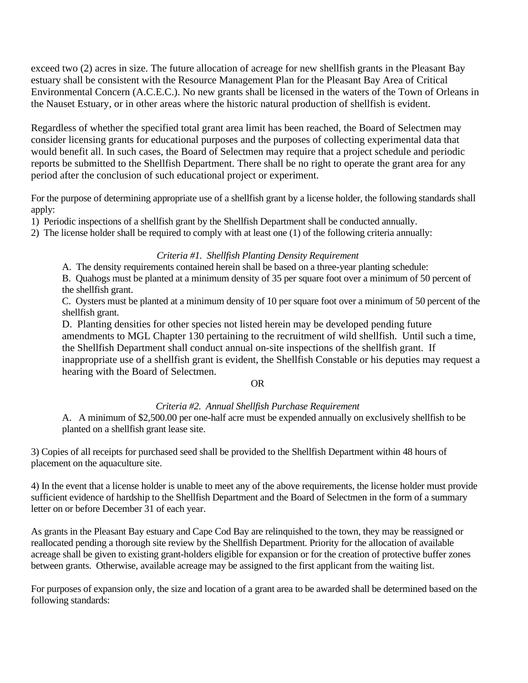exceed two (2) acres in size. The future allocation of acreage for new shellfish grants in the Pleasant Bay estuary shall be consistent with the Resource Management Plan for the Pleasant Bay Area of Critical Environmental Concern (A.C.E.C.). No new grants shall be licensed in the waters of the Town of Orleans in the Nauset Estuary, or in other areas where the historic natural production of shellfish is evident.

Regardless of whether the specified total grant area limit has been reached, the Board of Selectmen may consider licensing grants for educational purposes and the purposes of collecting experimental data that would benefit all. In such cases, the Board of Selectmen may require that a project schedule and periodic reports be submitted to the Shellfish Department. There shall be no right to operate the grant area for any period after the conclusion of such educational project or experiment.

For the purpose of determining appropriate use of a shellfish grant by a license holder, the following standards shall apply:

1) Periodic inspections of a shellfish grant by the Shellfish Department shall be conducted annually.

2) The license holder shall be required to comply with at least one (1) of the following criteria annually:

#### *Criteria #1. Shellfish Planting Density Requirement*

A. The density requirements contained herein shall be based on a three-year planting schedule:

B. Quahogs must be planted at a minimum density of 35 per square foot over a minimum of 50 percent of the shellfish grant.

C. Oysters must be planted at a minimum density of 10 per square foot over a minimum of 50 percent of the shellfish grant.

D. Planting densities for other species not listed herein may be developed pending future amendments to MGL Chapter 130 pertaining to the recruitment of wild shellfish. Until such a time, the Shellfish Department shall conduct annual on-site inspections of the shellfish grant. If inappropriate use of a shellfish grant is evident, the Shellfish Constable or his deputies may request a hearing with the Board of Selectmen.

#### OR

#### *Criteria #2. Annual Shellfish Purchase Requirement*

A. A minimum of \$2,500.00 per one-half acre must be expended annually on exclusively shellfish to be planted on a shellfish grant lease site.

3) Copies of all receipts for purchased seed shall be provided to the Shellfish Department within 48 hours of placement on the aquaculture site.

4) In the event that a license holder is unable to meet any of the above requirements, the license holder must provide sufficient evidence of hardship to the Shellfish Department and the Board of Selectmen in the form of a summary letter on or before December 31 of each year.

As grants in the Pleasant Bay estuary and Cape Cod Bay are relinquished to the town, they may be reassigned or reallocated pending a thorough site review by the Shellfish Department. Priority for the allocation of available acreage shall be given to existing grant-holders eligible for expansion or for the creation of protective buffer zones between grants. Otherwise, available acreage may be assigned to the first applicant from the waiting list.

For purposes of expansion only, the size and location of a grant area to be awarded shall be determined based on the following standards: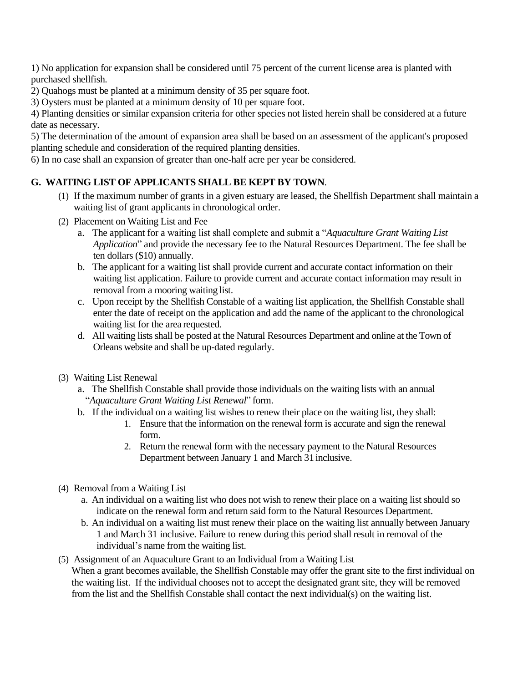1) No application for expansion shall be considered until 75 percent of the current license area is planted with purchased shellfish.

2) Quahogs must be planted at a minimum density of 35 per square foot.

3) Oysters must be planted at a minimum density of 10 per square foot.

4) Planting densities or similar expansion criteria for other species not listed herein shall be considered at a future date as necessary.

5) The determination of the amount of expansion area shall be based on an assessment of the applicant's proposed planting schedule and consideration of the required planting densities.

6) In no case shall an expansion of greater than one-half acre per year be considered.

## **G. WAITING LIST OF APPLICANTS SHALL BE KEPT BY TOWN**.

- (1) If the maximum number of grants in a given estuary are leased, the Shellfish Department shall maintain a waiting list of grant applicants in chronological order.
- (2) Placement on Waiting List and Fee
	- a. The applicant for a waiting list shall complete and submit a "*Aquaculture Grant Waiting List Application*" and provide the necessary fee to the Natural Resources Department. The fee shall be ten dollars (\$10) annually.
	- b. The applicant for a waiting list shall provide current and accurate contact information on their waiting list application. Failure to provide current and accurate contact information may result in removal from a mooring waiting list.
	- c. Upon receipt by the Shellfish Constable of a waiting list application, the Shellfish Constable shall enter the date of receipt on the application and add the name of the applicant to the chronological waiting list for the area requested.
	- d. All waiting lists shall be posted at the Natural Resources Department and online at the Town of Orleans website and shall be up-dated regularly.
- (3) Waiting List Renewal
	- a. The Shellfish Constable shall provide those individuals on the waiting lists with an annual "*Aquaculture Grant Waiting List Renewal*" form.
	- b. If the individual on a waiting list wishes to renew their place on the waiting list, they shall:
		- 1. Ensure that the information on the renewal form is accurate and sign the renewal form.
		- 2. Return the renewal form with the necessary payment to the Natural Resources Department between January 1 and March 31 inclusive.
- (4) Removal from a Waiting List
	- a. An individual on a waiting list who does not wish to renew their place on a waiting list should so indicate on the renewal form and return said form to the Natural Resources Department.
	- b. An individual on a waiting list must renew their place on the waiting list annually between January 1 and March 31 inclusive. Failure to renew during this period shall result in removal of the individual's name from the waiting list.
- (5) Assignment of an Aquaculture Grant to an Individual from a Waiting List When a grant becomes available, the Shellfish Constable may offer the grant site to the first individual on the waiting list. If the individual chooses not to accept the designated grant site, they will be removed from the list and the Shellfish Constable shall contact the next individual(s) on the waiting list.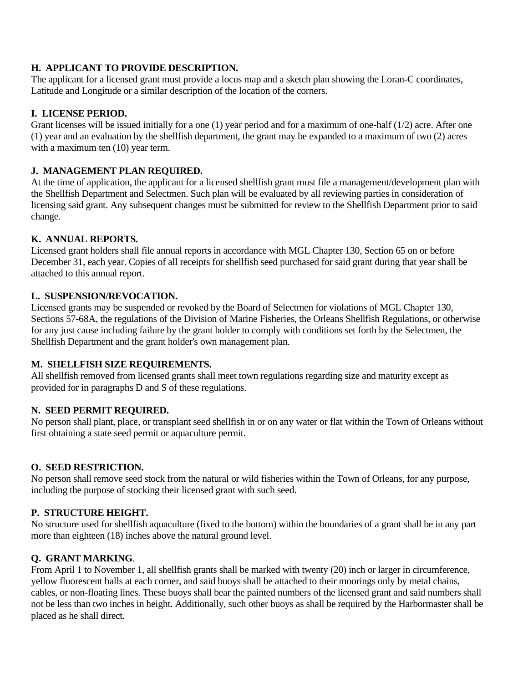### **H. APPLICANT TO PROVIDE DESCRIPTION.**

The applicant for a licensed grant must provide a locus map and a sketch plan showing the Loran-C coordinates, Latitude and Longitude or a similar description of the location of the corners.

### **I. LICENSE PERIOD.**

Grant licenses will be issued initially for a one (1) year period and for a maximum of one-half (1/2) acre. After one (1) year and an evaluation by the shellfish department, the grant may be expanded to a maximum of two (2) acres with a maximum ten  $(10)$  year term.

#### **J. MANAGEMENT PLAN REQUIRED.**

At the time of application, the applicant for a licensed shellfish grant must file a management/development plan with the Shellfish Department and Selectmen. Such plan will be evaluated by all reviewing parties in consideration of licensing said grant. Any subsequent changes must be submitted for review to the Shellfish Department prior to said change.

#### **K. ANNUAL REPORTS.**

Licensed grant holders shall file annual reports in accordance with MGL Chapter 130, Section 65 on or before December 31, each year. Copies of all receipts for shellfish seed purchased for said grant during that year shall be attached to this annual report.

#### **L. SUSPENSION/REVOCATION.**

Licensed grants may be suspended or revoked by the Board of Selectmen for violations of MGL Chapter 130, Sections 57-68A, the regulations of the Division of Marine Fisheries, the Orleans Shellfish Regulations, or otherwise for any just cause including failure by the grant holder to comply with conditions set forth by the Selectmen, the Shellfish Department and the grant holder's own management plan.

#### **M. SHELLFISH SIZE REQUIREMENTS.**

All shellfish removed from licensed grants shall meet town regulations regarding size and maturity except as provided for in paragraphs D and S of these regulations.

## **N. SEED PERMIT REQUIRED.**

No person shall plant, place, or transplant seed shellfish in or on any water or flat within the Town of Orleans without first obtaining a state seed permit or aquaculture permit.

## **O. SEED RESTRICTION.**

No person shall remove seed stock from the natural or wild fisheries within the Town of Orleans, for any purpose, including the purpose of stocking their licensed grant with such seed.

## **P. STRUCTURE HEIGHT.**

No structure used for shellfish aquaculture (fixed to the bottom) within the boundaries of a grant shall be in any part more than eighteen (18) inches above the natural ground level.

## **Q. GRANT MARKING**.

From April 1 to November 1, all shellfish grants shall be marked with twenty (20) inch or larger in circumference, yellow fluorescent balls at each corner, and said buoys shall be attached to their moorings only by metal chains, cables, or non-floating lines. These buoys shall bear the painted numbers of the licensed grant and said numbers shall not be less than two inches in height. Additionally, such other buoys as shall be required by the Harbormaster shall be placed as he shall direct.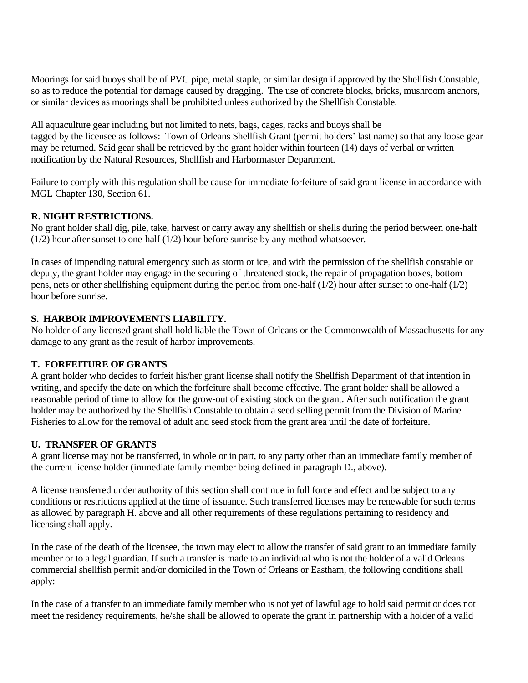Moorings for said buoys shall be of PVC pipe, metal staple, or similar design if approved by the Shellfish Constable, so as to reduce the potential for damage caused by dragging. The use of concrete blocks, bricks, mushroom anchors, or similar devices as moorings shall be prohibited unless authorized by the Shellfish Constable.

All aquaculture gear including but not limited to nets, bags, cages, racks and buoys shall be tagged by the licensee as follows: Town of Orleans Shellfish Grant (permit holders' last name) so that any loose gear may be returned. Said gear shall be retrieved by the grant holder within fourteen (14) days of verbal or written notification by the Natural Resources, Shellfish and Harbormaster Department.

Failure to comply with this regulation shall be cause for immediate forfeiture of said grant license in accordance with MGL Chapter 130, Section 61.

#### **R. NIGHT RESTRICTIONS.**

No grant holder shall dig, pile, take, harvest or carry away any shellfish or shells during the period between one-half (1/2) hour after sunset to one-half (1/2) hour before sunrise by any method whatsoever.

In cases of impending natural emergency such as storm or ice, and with the permission of the shellfish constable or deputy, the grant holder may engage in the securing of threatened stock, the repair of propagation boxes, bottom pens, nets or other shellfishing equipment during the period from one-half (1/2) hour after sunset to one-half (1/2) hour before sunrise.

#### **S. HARBOR IMPROVEMENTS LIABILITY.**

No holder of any licensed grant shall hold liable the Town of Orleans or the Commonwealth of Massachusetts for any damage to any grant as the result of harbor improvements.

## **T. FORFEITURE OF GRANTS**

A grant holder who decides to forfeit his/her grant license shall notify the Shellfish Department of that intention in writing, and specify the date on which the forfeiture shall become effective. The grant holder shall be allowed a reasonable period of time to allow for the grow-out of existing stock on the grant. After such notification the grant holder may be authorized by the Shellfish Constable to obtain a seed selling permit from the Division of Marine Fisheries to allow for the removal of adult and seed stock from the grant area until the date of forfeiture.

## **U. TRANSFER OF GRANTS**

A grant license may not be transferred, in whole or in part, to any party other than an immediate family member of the current license holder (immediate family member being defined in paragraph D., above).

A license transferred under authority of this section shall continue in full force and effect and be subject to any conditions or restrictions applied at the time of issuance. Such transferred licenses may be renewable for such terms as allowed by paragraph H. above and all other requirements of these regulations pertaining to residency and licensing shall apply.

In the case of the death of the licensee, the town may elect to allow the transfer of said grant to an immediate family member or to a legal guardian. If such a transfer is made to an individual who is not the holder of a valid Orleans commercial shellfish permit and/or domiciled in the Town of Orleans or Eastham, the following conditions shall apply:

In the case of a transfer to an immediate family member who is not yet of lawful age to hold said permit or does not meet the residency requirements, he/she shall be allowed to operate the grant in partnership with a holder of a valid